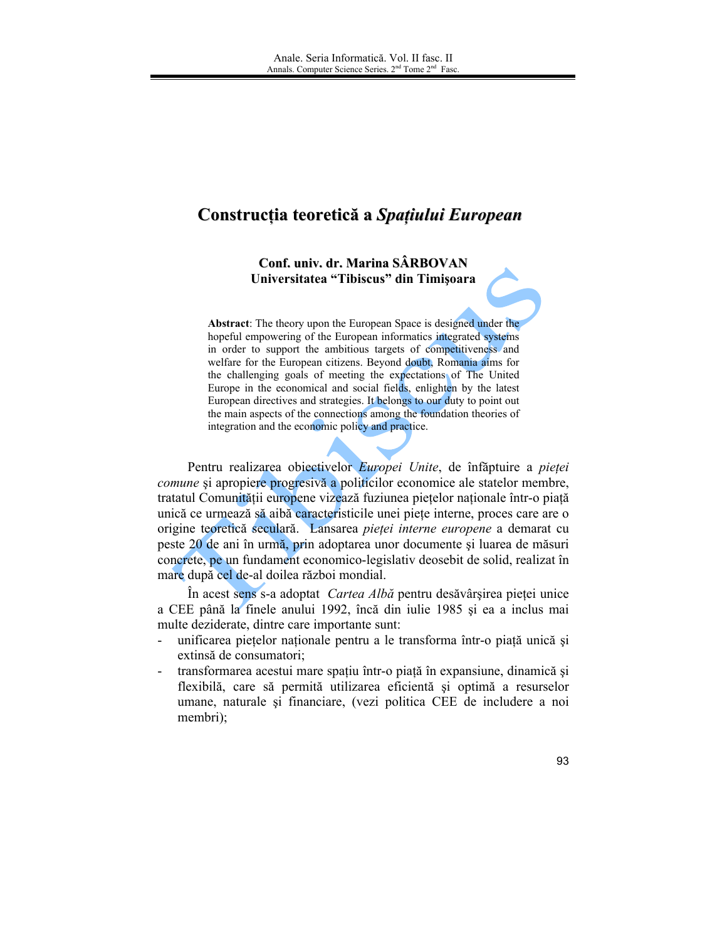## Construcția teoretică a Spațiului European

Conf. univ. dr. Marina SÂRBOVAN Universitatea "Tibiscus" din Timișoara

**Abstract:** The theory upon the European Space is designed under the hopeful empowering of the European informatics integrated systems in order to support the ambitious targets of competitiveness and welfare for the European citizens. Beyond doubt, Romania aims for the challenging goals of meeting the expectations of The United Europe in the economical and social fields, enlighten by the latest European directives and strategies. It belongs to our duty to point out the main aspects of the connections among the foundation theories of integration and the economic policy and practice.

Pentru realizarea obiectivelor Europei Unite, de înfăptuire a pieței *comune* și apropiere progresivă a politicilor economice ale statelor membre, tratatul Comunității europene vizează fuziunea piețelor naționale într-o piață unică ce urmează să aibă caracteristicile unei piete interne, proces care are o origine teoretică seculară. Lansarea pieței interne europene a demarat cu peste 20 de ani în urmă, prin adoptarea unor documente și luarea de măsuri concrete, pe un fundament economico-legislativ deosebit de solid, realizat în mare după cel de-al doilea război mondial.

În acest sens s-a adoptat *Cartea Albă* pentru desăvârșirea pieței unice a CEE până la finele anului 1992, încă din iulie 1985 și ea a inclus mai multe deziderate, dintre care importante sunt:

- unificarea piețelor naționale pentru a le transforma într-o piață unică și extinsă de consumatori.
- transformarea acestui mare spațiu într-o piață în expansiune, dinamică și  $\overline{\phantom{0}}$ flexibilă, care să permită utilizarea eficientă și optimă a resurselor umane, naturale si financiare, (vezi politica CEE de includere a noi membri);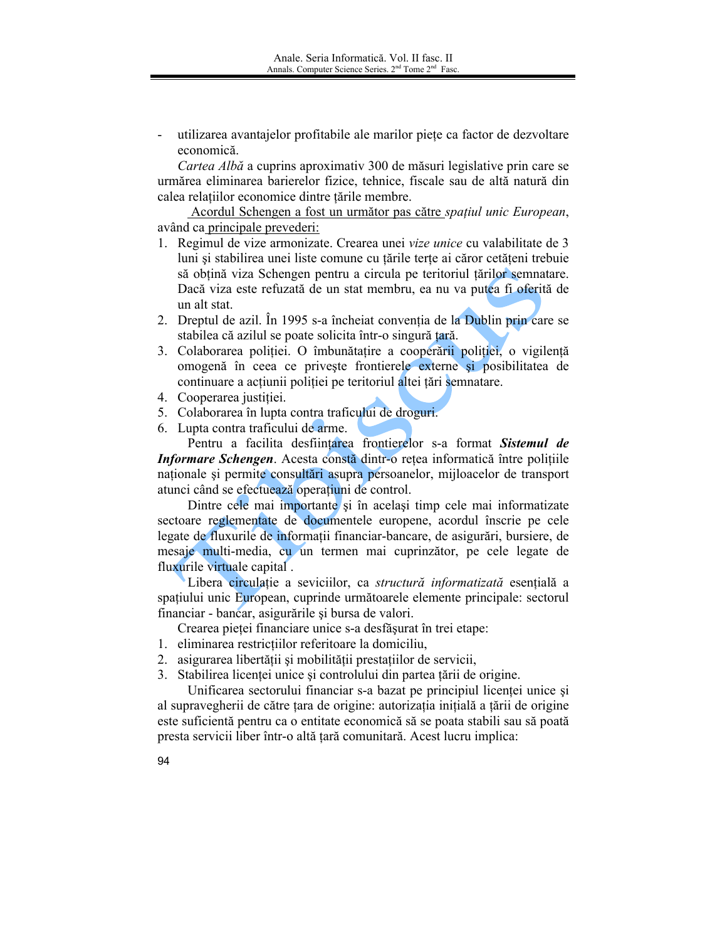utilizarea avantajelor profitabile ale marilor piete ca factor de dezvoltare economică.

Cartea Albă a cuprins aproximativ 300 de măsuri legislative prin care se urmărea eliminarea barierelor fizice, tehnice, fiscale sau de altă natură din calea relațiilor economice dintre țările membre.

Acordul Schengen a fost un următor pas către spațiul unic European, având ca principale prevederi:

- 1. Regimul de vize armonizate. Crearea unei vize *unice* cu valabilitate de 3 luni și stabilirea unei liste comune cu țările terțe ai căror cetățeni trebuie să obțină viza Schengen pentru a circula pe teritoriul țărilor semnatare. Dacă viza este refuzată de un stat membru, ea nu va putea fi oferită de un alt stat.
- 2. Dreptul de azil. În 1995 s-a încheiat convenția de la Dublin prin care se stabilea că azilul se poate solicita într-o singură tară.
- 3. Colaborarea poliției. O îmbunătațire a cooperării poliției, o vigilență omogenă în ceea ce privește frontierele externe și posibilitatea de continuare a acțiunii poliției pe teritoriul altei țări semnatare.
- 4. Cooperarea justiției.
- 5. Colaborarea în lupta contra traficului de droguri.
- 6. Lupta contra traficului de arme.

Pentru a facilita desfiintarea frontierelor s-a format Sistemul de Informare Schengen. Acesta constă dintr-o rețea informatică între polițiile naționale și permite consultări asupra persoanelor, mijloacelor de transport atunci când se efectuează operațiuni de control.

Dintre cele mai importante și în același timp cele mai informatizate sectoare reglementate de documentele europene, acordul înscrie pe cele legate de fluxurile de informații financiar-bancare, de asigurări, bursiere, de mesaje multi-media, cu un termen mai cuprinzător, pe cele legate de fluxurile virtuale capital.

Libera circulatie a seviciilor, ca structură informatizată esentială a spațiului unic European, cuprinde următoarele elemente principale: sectorul financiar - bancar, asigurările și bursa de valori.

Crearea pietei financiare unice s-a desfășurat în trei etape:

- 1. eliminarea restricțiilor referitoare la domiciliu,
- 2. asigurarea libertății și mobilității prestațiilor de servicii,
- 3. Stabilirea licenței unice și controlului din partea țării de origine.

Unificarea sectorului financiar s-a bazat pe principiul licenței unice și al supravegherii de către țara de origine: autorizația inițială a țării de origine este suficientă pentru ca o entitate economică să se poata stabili sau să poată presta servicii liber într-o altă țară comunitară. Acest lucru implica: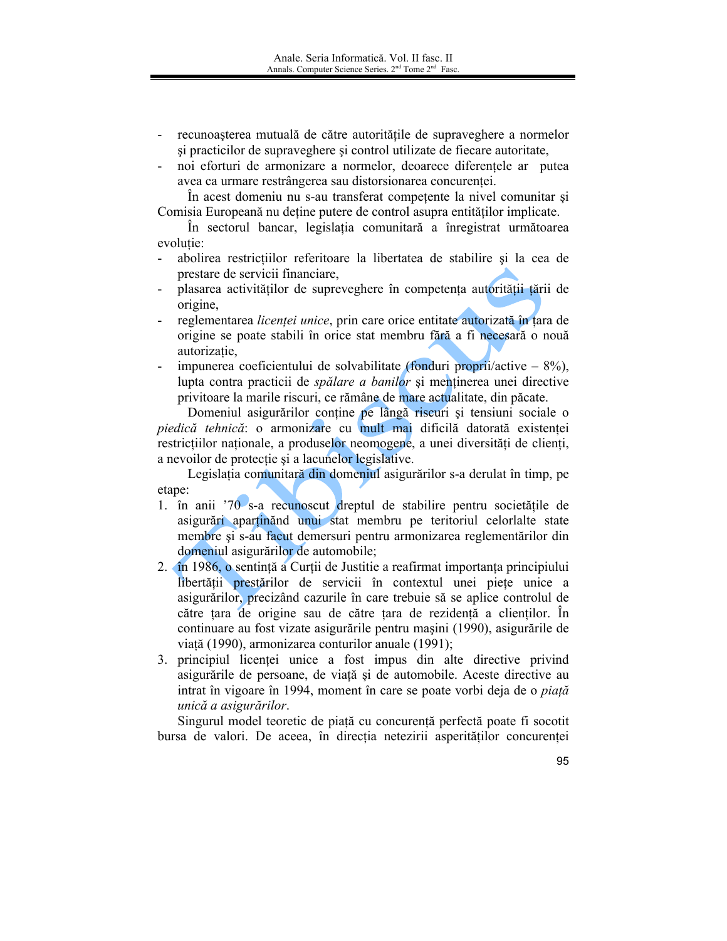- recunoașterea mutuală de către autoritățile de supraveghere a normelor si practicilor de supraveghere și control utilizate de fiecare autoritate,
- noi eforturi de armonizare a normelor, deoarece diferentele ar putea  $\mathbf{L}^{\text{max}}$ avea ca urmare restrângerea sau distorsionarea concurentei.

În acest domeniu nu s-au transferat competente la nivel comunitar și Comisia Europeană nu deține putere de control asupra entităților implicate.

In sectorul bancar, legislația comunitară a înregistrat următoarea evolutie:

- abolirea restrictiilor referitoare la libertatea de stabilire si la cea de  $\mathbf{r}$ prestare de servicii financiare,
- plasarea activitătilor de supreveghere în competenta autoritătii tării de origine,
- reglementarea licenței unice, prin care orice entitate autorizată în țara de origine se poate stabili în orice stat membru fără a fi necesară o nouă autorizatie.
- impunerea coeficientului de solvabilitate (fonduri proprii/active  $-8\%$ ),  $\blacksquare$ lupta contra practicii de *spălare a banilor* și mentinerea unei directive privitoare la marile riscuri, ce rămâne de mare actualitate, din păcate.

Domeniul asigurărilor conține pe lângă riscuri și tensiuni sociale o piedică tehnică: o armonizare cu mult mai dificilă datorată existenței restricțiilor naționale, a produselor neomogene, a unei diversități de clienți, a nevoilor de protectie și a lacunelor legislative.

Legislația comunitară din domeniul asigurărilor s-a derulat în timp, pe etane:

- 1. în anii '70 s-a recunoscut dreptul de stabilire pentru societățile de asigurări apartinănd unui stat membru pe teritoriul celorialte state membre și s-au facut demersuri pentru armonizarea reglementărilor din domeniul asigurărilor de automobile;
- 2. În 1986, o sentință a Curții de Justiție a reafirmat importanța principiului libertății prestărilor de servicii în contextul unei piete unice a asigurărilor, precizând cazurile în care trebuie să se aplice controlul de către țara de origine sau de către țara de rezidență a clienților. În continuare au fost vizate asigurările pentru mașini (1990), asigurările de viață (1990), armonizarea conturilor anuale (1991);
- 3. principiul licenței unice a fost impus din alte directive privind asigurările de persoane, de viață și de automobile. Aceste directive au intrat în vigoare în 1994, moment în care se poate vorbi deja de o *piată* unică a asigurărilor.

Singurul model teoretic de piață cu concurență perfectă poate fi socotit bursa de valori. De aceea, în direcția netezirii asperităților concurenței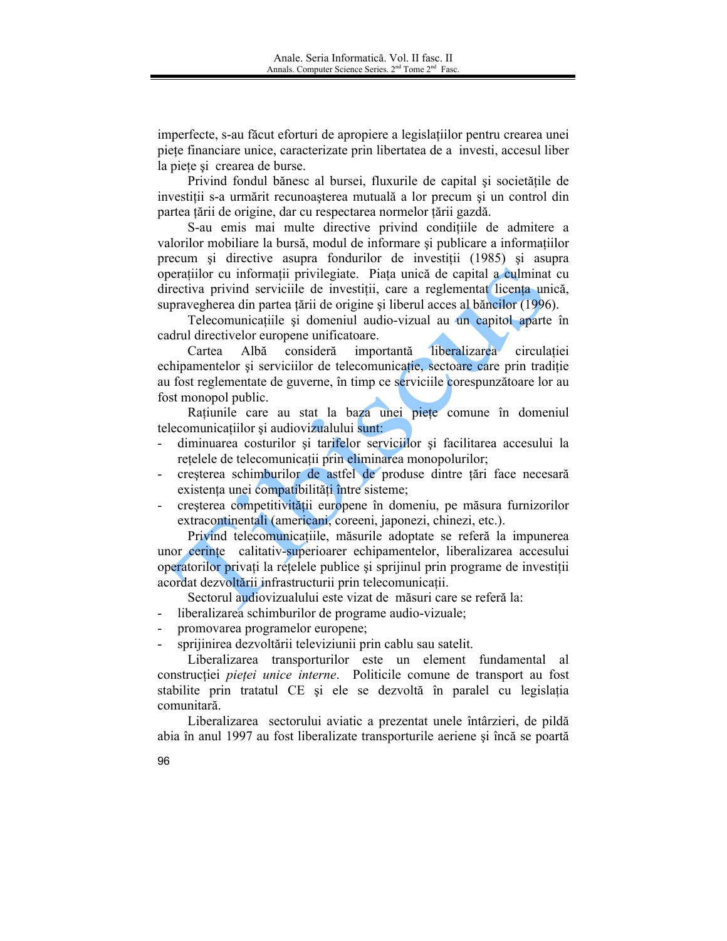imperfecte, s-au făcut eforturi de apropiere a legislațiilor pentru crearea unei piețe financiare unice, caracterizate prin libertatea de a investi, accesul liber la piete si crearea de burse.

Privind fondul bănesc al bursei, fluxurile de capital și societățile de investiții s-a urmărit recunoașterea mutuală a lor precum și un control din partea țării de origine, dar cu respectarea normelor țării gazdă.

S-au emis mai multe directive privind conditiile de admitere a valorilor mobiliare la bursă, modul de informare și publicare a informatiilor precum și directive asupra fondurilor de investiții (1985) și asupra operațiilor cu informații privilegiate. Piața unică de capital a culminat cu directiva privind serviciile de investitii, care a reglementat licenta unică, supravegherea din partea țării de origine și liberul acces al băncilor (1996).

Telecomunicațiile și domeniul audio-vizual au un capitol aparte în cadrul directivelor europene unificatoare.

Cartea Albă consideră importantă liberalizarea circulatiei echipamentelor și serviciilor de telecomunicatie, sectoare care prin tradiție au fost reglementate de guverne, în timp ce serviciile corespunzătoare lor au fost monopol public.

Ratiunile care au stat la baza unei piete comune în domeniul telecomunicațiilor și audiovizualului sunt:

- diminuarea costurilor și tarifelor serviciilor și facilitarea accesului la retelele de telecomunicații prin eliminarea monopolurilor;
- cresterea schimburilor de astfel de produse dintre tări face necesară existența unei compatibilități între sisteme;
- creșterea competitivității europene în domeniu, pe măsura furnizorilor extracontinentali (americani, coreeni, japonezi, chinezi, etc.).

Privind telecomunicațiile, măsurile adoptate se referă la impunerea unor cerinte calitativ-superioarer echipamentelor, liberalizarea accesului operatorilor privati la retelele publice și sprijinul prin programe de investiții acordat dezvoltării infrastructurii prin telecomunicații.

Sectorul audiovizualului este vizat de măsuri care se referă la:

- liberalizarea schimburilor de programe audio-vizuale;
- promovarea programelor europene;

sprijinirea dezvoltării televiziunii prin cablu sau satelit.

Liberalizarea transporturilor este un element fundamental al constructiei *pieței unice interne*. Politicile comune de transport au fost stabilite prin tratatul CE și ele se dezvoltă în paralel cu legislația comunitară.

Liberalizarea sectorului aviatic a prezentat unele întârzieri, de pildă abia în anul 1997 au fost liberalizate transporturile aeriene și încă se poartă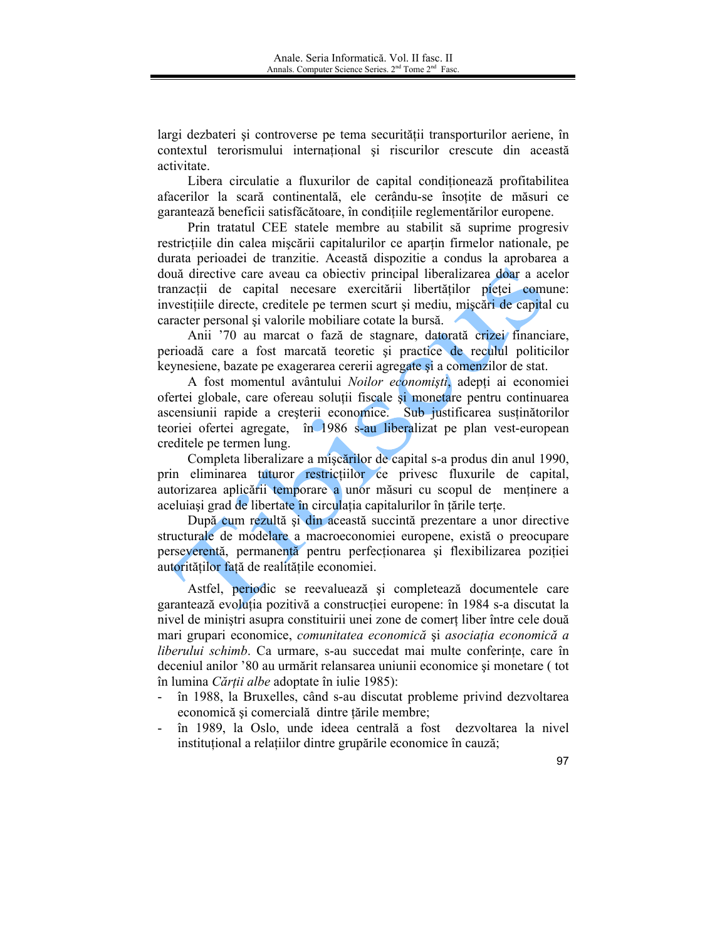largi dezbateri și controverse pe tema securității transporturilor aeriene, în contextul terorismului internațional și riscurilor crescute din această activitate

Libera circulatie a fluxurilor de capital conditionează profitabilitea afacerilor la scară continentală, ele cerându-se însoțite de măsuri ce garantează beneficii satisfăcătoare, în condițiile reglementărilor europene.

Prin tratatul CEE statele membre au stabilit să suprime progresiv restrictiile din calea miscării capitalurilor ce apartin firmelor nationale, pe durata perioadei de tranzitie. Această dispozitie a condus la aprobarea a două directive care aveau ca obiectiv principal liberalizarea doar a acelor tranzacții de capital necesare exercitării libertăților pieței comune: investițiile directe, creditele pe termen scurt și mediu, miscări de capital cu caracter personal și valorile mobiliare cotate la bursă.

Anii '70 au marcat o fază de stagnare, datorată crizei financiare, perioadă care a fost marcată teoretic și practice de reculul politicilor keynesiene, bazate pe exagerarea cererii agregate și a comenzilor de stat.

A fost momentul avântului Noilor economiști, adepți ai economiei ofertei globale, care ofereau soluții fiscale și monetare pentru continuarea ascensiunii rapide a creșterii economice. Sub justificarea susținătorilor teoriei ofertei agregate, în 1986 s-au liberalizat pe plan vest-european creditele pe termen lung.

Completa liberalizare a miscărilor de capital s-a produs din anul 1990, prin eliminarea tuturor restrictiilor ce privesc fluxurile de capital, autorizarea aplicării temporare a unor măsuri cu scopul de menținere a aceluiași grad de libertate în circulația capitalurilor în țările terțe.

După cum rezultă și din această succintă prezentare a unor directive structurale de modelare a macroeconomiei europene, există o preocupare perseverentă, permanentă pentru perfecționarea și flexibilizarea poziției autorităților față de realitățile economiei.

Astfel, periodic se reevaluează și completează documentele care garantează evoluția pozitivă a construcției europene: în 1984 s-a discutat la nivel de ministri asupra constituirii unei zone de comerț liber între cele două mari grupari economice, comunitatea economică și asociația economică a liberului schimb. Ca urmare, s-au succedat mai multe conferinte, care în deceniul anilor '80 au urmărit relansarea uniunii economice și monetare (tot în lumina Cărții albe adoptate în iulie 1985):

- în 1988, la Bruxelles, când s-au discutat probleme privind dezvoltarea  $\blacksquare$ economică și comercială dintre țările membre;
- în 1989, la Oslo, unde ideea centrală a fost dezvoltarea la nivel  $\blacksquare$ instituțional a relațiilor dintre grupările economice în cauză;